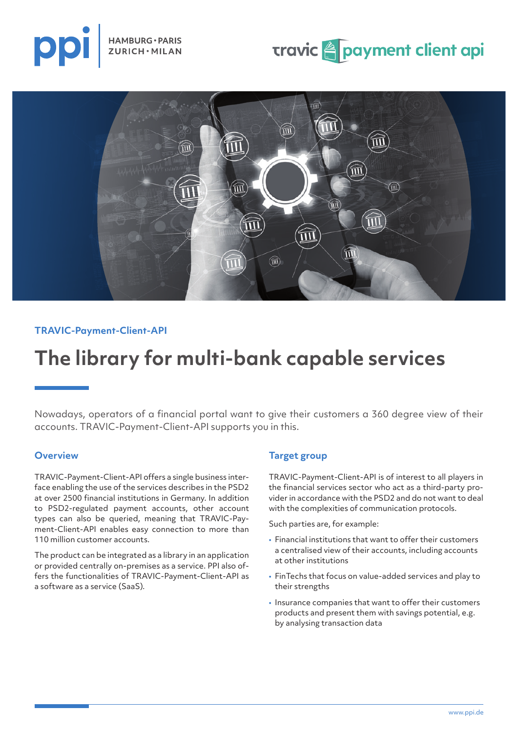





#### **TRAVIC-Payment-Client-API**

## **The library for multi-bank capable services**

Nowadays, operators of a financial portal want to give their customers a 360 degree view of their accounts. TRAVIC-Payment-Client-API supports you in this.

#### **Overview**

TRAVIC-Payment-Client-API offers a single business interface enabling the use of the services describes in the PSD2 at over 2500 financial institutions in Germany. In addition to PSD2-regulated payment accounts, other account types can also be queried, meaning that TRAVIC-Payment-Client-API enables easy connection to more than 110 million customer accounts.

The product can be integrated as a library in an application or provided centrally on-premises as a service. PPI also offers the functionalities of TRAVIC-Payment-Client-API as a software as a service (SaaS).

#### **Target group**

TRAVIC-Payment-Client-API is of interest to all players in the financial services sector who act as a third-party provider in accordance with the PSD2 and do not want to deal with the complexities of communication protocols.

Such parties are, for example:

- Financial institutions that want to offer their customers a centralised view of their accounts, including accounts at other institutions
- FinTechs that focus on value-added services and play to their strengths
- Insurance companies that want to offer their customers products and present them with savings potential, e.g. by analysing transaction data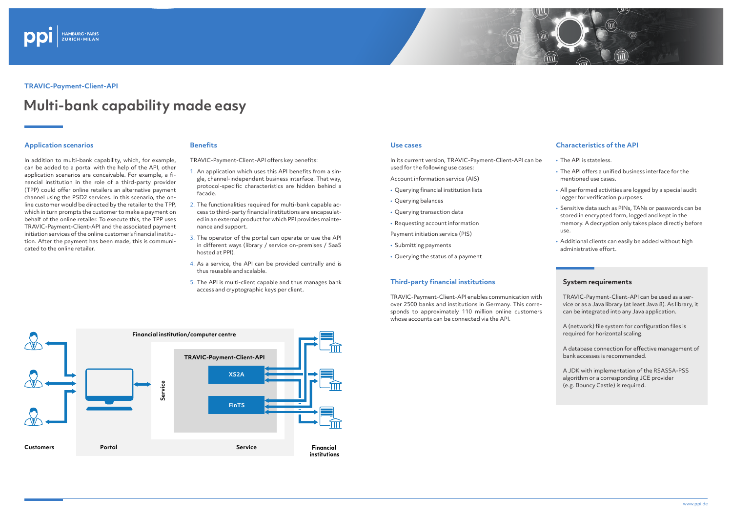



#### **TRAVIC-Payment-Client-API**

# **Multi-bank capability made easy**

#### **Application scenarios**

In addition to multi-bank capability, which, for example, can be added to a portal with the help of the API, other application scenarios are conceivable. For example, a financial institution in the role of a third-party provider (TPP) could offer online retailers an alternative payment channel using the PSD2 services. In this scenario, the online customer would be directed by the retailer to the TPP, which in turn prompts the customer to make a payment on behalf of the online retailer. To execute this, the TPP uses TRAVIC-Payment-Client-API and the associated payment initiation services of the online customer's financial institution. After the payment has been made, this is communicated to the online retailer.

#### **Use cases**

In its current version, TRAVIC-Payment-Client-API can be used for the following use cases:

Account information service (AIS)

- Querying financial institution lists
- Querying balances
- Querying transaction data
- Requesting account information

Payment initiation service (PIS)

- Submitting payments
- Querying the status of a payment

#### **Third-party financial institutions**

TRAVIC-Payment-Client-API enables communication with over 2500 banks and institutions in Germany. This corresponds to approximately 110 million online customers whose accounts can be connected via the API.



### **Characteristics of the API**

- The API is stateless.
- The API offers a unified business interface for the mentioned use cases.
- All performed activities are logged by a special audit logger for verification purposes.
- Sensitive data such as PINs, TANs or passwords can be stored in encrypted form, logged and kept in the memory. A decryption only takes place directly before use.
- Additional clients can easily be added without high administrative effort.

#### **System requirements**

TRAVIC-Payment-Client-API can be used as a service or as a Java library (at least Java 8). As library, it can be integrated into any Java application.

A (network) file system for configuration files is required for horizontal scaling.

A database connection for effective management of bank accesses is recommended.

A JDK with implementation of the RSASSA-PSS algorithm or a corresponding JCE provider (e.g. Bouncy Castle) is required.

#### **Benefits**

TRAVIC-Payment-Client-API offers key benefits:

- 1. An application which uses this API benefits from a single, channel-independent business interface. That way, protocol-specific characteristics are hidden behind a facade.
- 2. The functionalities required for multi-bank capable access to third-party financial institutions are encapsulated in an external product for which PPI provides maintenance and support.
- 3. The operator of the portal can operate or use the API in different ways (library / service on-premises / SaaS hosted at PPI).
- 4. As a service, the API can be provided centrally and is thus reusable and scalable.
- 5. The API is multi-client capable and thus manages bank access and cryptographic keys per client.